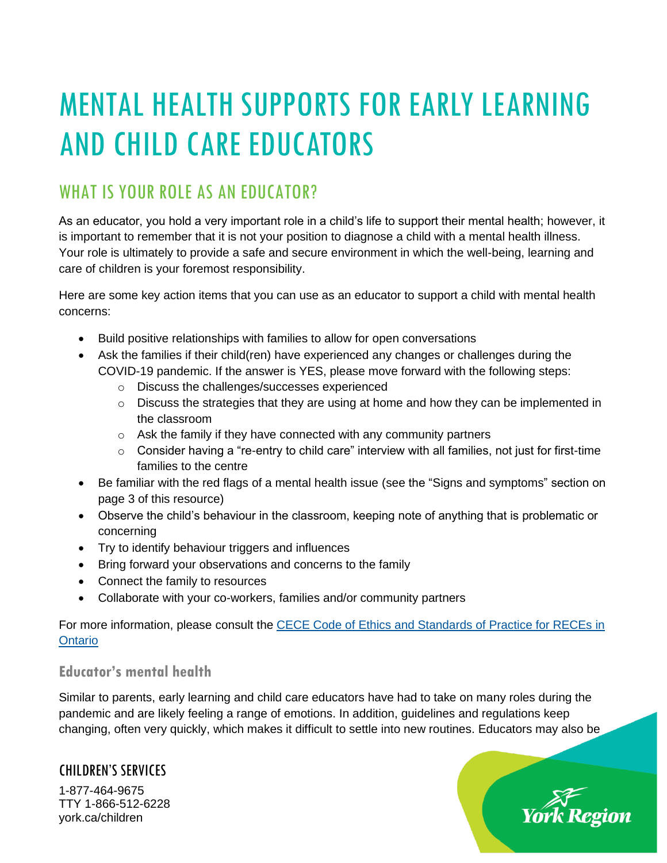# MENTAL HEALTH SUPPORTS FOR EARLY LEARNING AND CHILD CARE EDUCATORS

## WHAT IS YOUR ROLE AS AN EDUCATOR?

As an educator, you hold a very important role in a child's life to support their mental health; however, it is important to remember that it is not your position to diagnose a child with a mental health illness. Your role is ultimately to provide a safe and secure environment in which the well-being, learning and care of children is your foremost responsibility.

Here are some key action items that you can use as an educator to support a child with mental health concerns:

- Build positive relationships with families to allow for open conversations
- Ask the families if their child(ren) have experienced any changes or challenges during the COVID-19 pandemic. If the answer is YES, please move forward with the following steps:
	- o Discuss the challenges/successes experienced
	- $\circ$  Discuss the strategies that they are using at home and how they can be implemented in the classroom
	- o Ask the family if they have connected with any community partners
	- $\circ$  Consider having a "re-entry to child care" interview with all families, not just for first-time families to the centre
- Be familiar with the red flags of a mental health issue (see the "Signs and symptoms" section on page 3 of this resource)
- Observe the child's behaviour in the classroom, keeping note of anything that is problematic or concerning
- Try to identify behaviour triggers and influences
- Bring forward your observations and concerns to the family
- Connect the family to resources
- Collaborate with your co-workers, families and/or community partners

For more information, please consult the CECE Code of Ethics and Standards of Practice for RECEs in **[Ontario](https://www.college-ece.ca/en/Documents/Code_and_Standards_2017.pdf)** 

#### **Educator's mental health**

Similar to parents, early learning and child care educators have had to take on many roles during the pandemic and are likely feeling a range of emotions. In addition, guidelines and regulations keep changing, often very quickly, which makes it difficult to settle into new routines. Educators may also be

prk Region

#### CHILDREN'S SERVICES

1-877-464-9675 TTY 1-866-512-6228 york.ca/children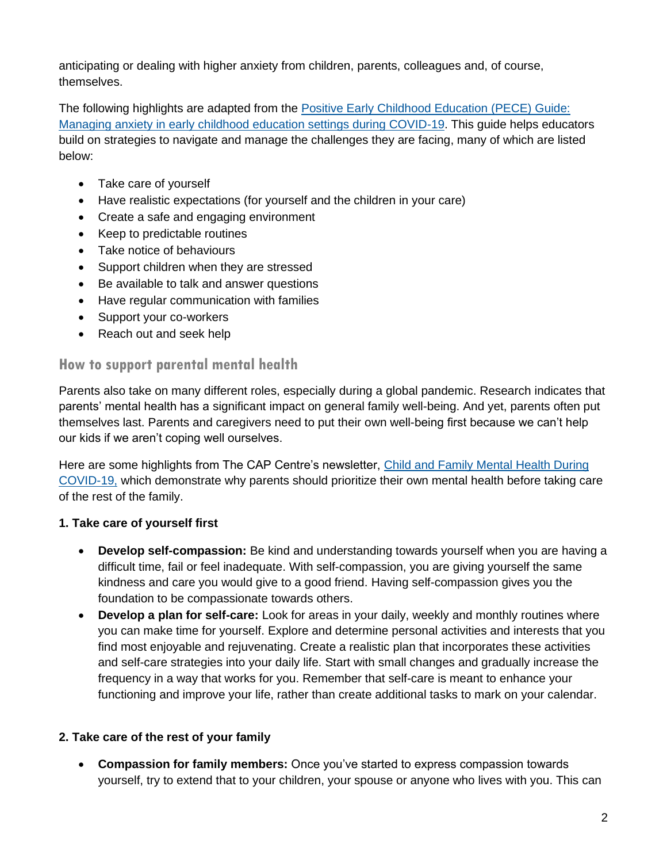anticipating or dealing with higher anxiety from children, parents, colleagues and, of course, themselves.

The following highlights are adapted from the [Positive Early Childhood Education \(PECE\) Guide:](https://www.york.ca/wps/wcm/connect/yorkpublic/9d8d2015-3fa0-4f25-a644-9cc7717c2ee9/COVID19-GUIDE-PECE.pdf?MOD=AJPERES&CVID=nIXCTEC)  [Managing anxiety in early childhood education settings during COVID-19.](https://www.york.ca/wps/wcm/connect/yorkpublic/9d8d2015-3fa0-4f25-a644-9cc7717c2ee9/COVID19-GUIDE-PECE.pdf?MOD=AJPERES&CVID=nIXCTEC) This guide helps educators build on strategies to navigate and manage the challenges they are facing, many of which are listed below:

- Take care of yourself
- Have realistic expectations (for yourself and the children in your care)
- Create a safe and engaging environment
- Keep to predictable routines
- Take notice of behaviours
- Support children when they are stressed
- Be available to talk and answer questions
- Have regular communication with families
- Support your co-workers
- Reach out and seek help

#### **How to support parental mental health**

Parents also take on many different roles, especially during a global pandemic. Research indicates that parents' mental health has a significant impact on general family well-being. And yet, parents often put themselves last. Parents and caregivers need to put their own well-being first because we can't help our kids if we aren't coping well ourselves.

Here are some highlights from The CAP Centre's newsletter, Child and [Family Mental Health During](http://www.thecapcentre.com/wp-content/uploads/2020/06/The-CAP-Centre-Newsletter.pdf)  [COVID-19,](http://www.thecapcentre.com/wp-content/uploads/2020/06/The-CAP-Centre-Newsletter.pdf) which demonstrate why parents should prioritize their own mental health before taking care of the rest of the family.

#### **1. Take care of yourself first**

- **Develop self-compassion:** Be kind and understanding towards yourself when you are having a difficult time, fail or feel inadequate. With self-compassion, you are giving yourself the same kindness and care you would give to a good friend. Having self-compassion gives you the foundation to be compassionate towards others.
- **Develop a plan for self-care:** Look for areas in your daily, weekly and monthly routines where you can make time for yourself. Explore and determine personal activities and interests that you find most enjoyable and rejuvenating. Create a realistic plan that incorporates these activities and self-care strategies into your daily life. Start with small changes and gradually increase the frequency in a way that works for you. Remember that self-care is meant to enhance your functioning and improve your life, rather than create additional tasks to mark on your calendar.

#### **2. Take care of the rest of your family**

• **Compassion for family members:** Once you've started to express compassion towards yourself, try to extend that to your children, your spouse or anyone who lives with you. This can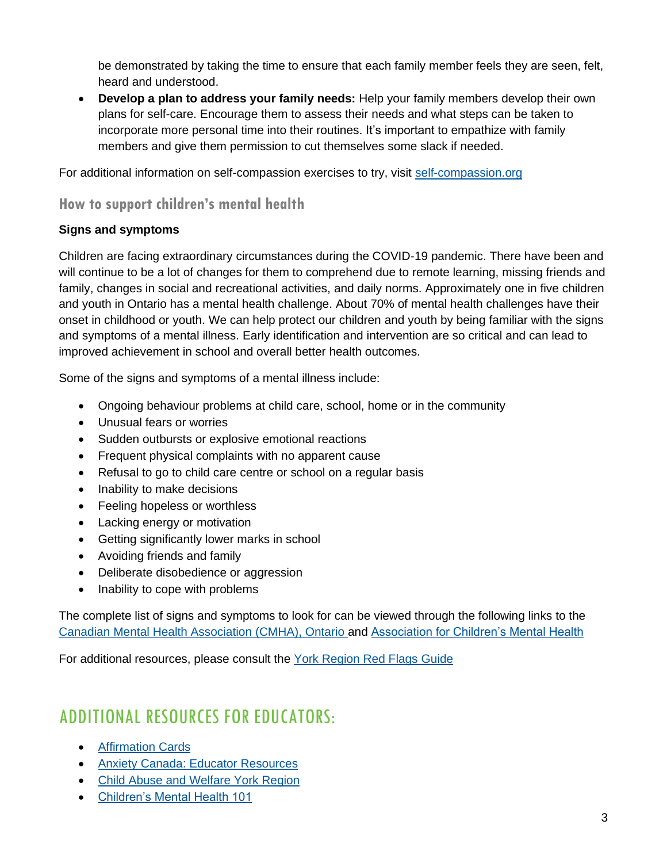be demonstrated by taking the time to ensure that each family member feels they are seen, felt, heard and understood.

• **Develop a plan to address your family needs:** Help your family members develop their own plans for self-care. Encourage them to assess their needs and what steps can be taken to incorporate more personal time into their routines. It's important to empathize with family members and give them permission to cut themselves some slack if needed.

For additional information on self-compassion exercises to try, visit [self-compassion.org](https://www.self-compassion.org/)

### **How to support children's mental health**

#### **Signs and symptoms**

Children are facing extraordinary circumstances during the COVID-19 pandemic. There have been and will continue to be a lot of changes for them to comprehend due to remote learning, missing friends and family, changes in social and recreational activities, and daily norms. Approximately one in five children and youth in Ontario has a mental health challenge. About 70% of mental health challenges have their onset in childhood or youth. We can help protect our children and youth by being familiar with the signs and symptoms of a mental illness. Early identification and intervention are so critical and can lead to improved achievement in school and overall better health outcomes.

Some of the signs and symptoms of a mental illness include:

- Ongoing behaviour problems at child care, school, home or in the community
- Unusual fears or worries
- Sudden outbursts or explosive emotional reactions
- Frequent physical complaints with no apparent cause
- Refusal to go to child care centre or school on a regular basis
- Inability to make decisions
- Feeling hopeless or worthless
- Lacking energy or motivation
- Getting significantly lower marks in school
- Avoiding friends and family
- Deliberate disobedience or aggression
- Inability to cope with problems

The complete list of signs and symptoms to look for can be viewed through the following links to the [Canadian Mental Health Association](https://ontario.cmha.ca/documents/child-and-youth-mental-health-signs-and-symptoms/) (CMHA), Ontario and [Association for Children's Mental Health](http://www.acmh-mi.org/get-information/childrens-mental-health-101/possible-red-flags/)

For additional resources, please consult the [York Region Red Flags Guide](https://www.york.ca/wps/wcm/connect/yorkpublic/054ca0a9-0027-46a3-b817-452890b3038b/Red+Flags+Guide.pdf?MOD=AJPERES&CVID=mWE8F1O)

## ADDITIONAL RESOURCES FOR EDUCATORS:

- [Affirmation Cards](https://www.strongmindsstrongkids.org/Public/Resources/Affirmation-Cards/Public/Resources/Affirmation-Cards.aspx?hkey=4595df37-9baf-4f69-902b-f935a0035bb8)
- [Anxiety Canada: Educator Resources](https://www.anxietycanada.com/resources/educator-resources/)
- [Child Abuse and Welfare York Region](https://www.centralhealthline.ca/listServices.aspx?id=10501)
- [Children's Mental Health 101](http://www.acmh-mi.org/get-information/childrens-mental-health-101/)